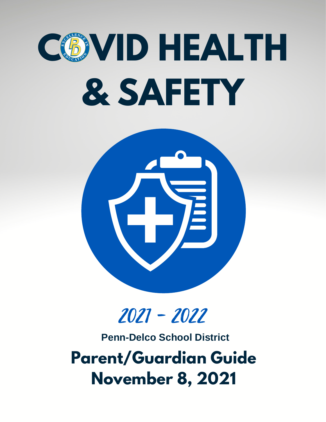# **COVID HEALTH & SAFETY**



# 2021 - 2022

**Penn-Delco School District**

**Parent/Guardian Guide November 8, 2021**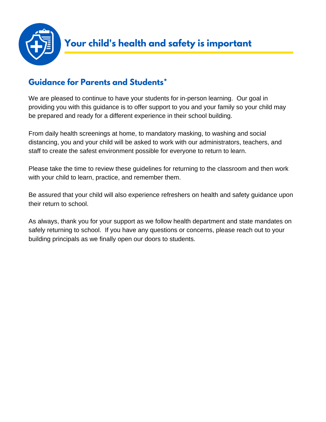![](_page_1_Picture_0.jpeg)

# **Guidance for Parents and Students\***

We are pleased to continue to have your students for in-person learning. Our goal in providing you with this guidance is to offer support to you and your family so your child may be prepared and ready for a different experience in their school building.

From daily health screenings at home, to mandatory masking, to washing and social distancing, you and your child will be asked to work with our administrators, teachers, and staff to create the safest environment possible for everyone to return to learn.

Please take the time to review these guidelines for returning to the classroom and then work with your child to learn, practice, and remember them.

Be assured that your child will also experience refreshers on health and safety guidance upon their return to school.

As always, thank you for your support as we follow health department and state mandates on safely returning to school. If you have any questions or concerns, please reach out to your building principals as we finally open our doors to students.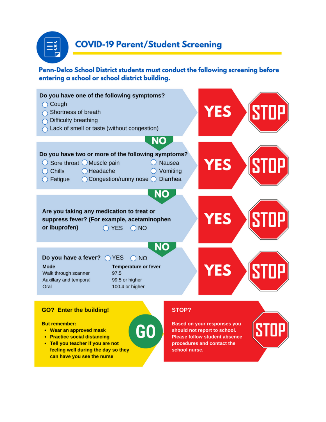![](_page_2_Picture_0.jpeg)

Penn-Delco School District students must conduct the following screening before entering a school or school district building.

![](_page_2_Figure_3.jpeg)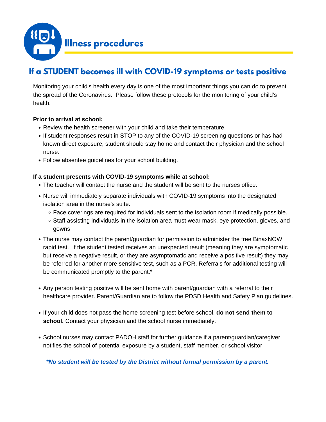![](_page_3_Picture_0.jpeg)

# **If a STUDENT becomes ill with COVID-19 symptoms or tests positive**

Monitoring your child's health every day is one of the most important things you can do to prevent the spread of the Coronavirus. Please follow these protocols for the monitoring of your child's health.

#### **Prior to arrival at school:**

- Review the health screener with your child and take their temperature.
- If student responses result in STOP to any of the COVID-19 screening questions or has had known direct exposure, student should stay home and contact their physician and the school nurse.
- Follow absentee guidelines for your school building.

#### **If a student presents with COVID-19 symptoms while at school:**

- The teacher will contact the nurse and the student will be sent to the nurses office.
- Nurse will immediately separate individuals with COVID-19 symptoms into the designated isolation area in the nurse's suite.
	- Face coverings are required for individuals sent to the isolation room if medically possible.
	- $\circ$  Staff assisting individuals in the isolation area must wear mask, eye protection, gloves, and gowns
- The nurse may contact the parent/guardian for permission to administer the free BinaxNOW rapid test. If the student tested receives an unexpected result (meaning they are symptomatic but receive a negative result, or they are asymptomatic and receive a positive result) they may be referred for another more sensitive test, such as a PCR. Referrals for additional testing will be communicated promptly to the parent.\*
- Any person testing positive will be sent home with parent/guardian with a referral to their healthcare provider. Parent/Guardian are to follow the PDSD Health and Safety Plan guidelines.
- If your child does not pass the home screening test before school, **do not send them to school.** Contact your physician and the school nurse immediately.
- School nurses may contact PADOH staff for further guidance if a parent/guardian/caregiver notifies the school of potential exposure by a student, staff member, or school visitor.

*\*No student will be tested by the District without formal permission by a parent.*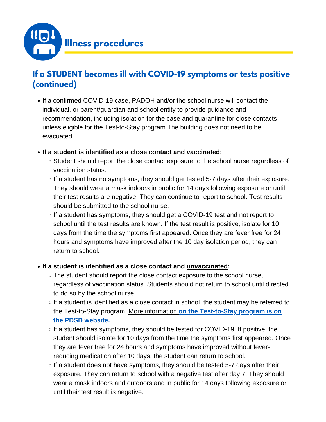![](_page_4_Picture_0.jpeg)

# **If a STUDENT becomes ill with COVID-19 symptoms or tests positive (continued)**

- If a confirmed COVID-19 case, PADOH and/or the school nurse will contact the individual, or parent/guardian and school entity to provide guidance and recommendation, including isolation for the case and quarantine for close contacts unless eligible for the Test-to-Stay program.The building does not need to be evacuated.
- **If a student is identified as a close contact and vaccinated:**
	- Student should report the close contact exposure to the school nurse regardless of vaccination status.
	- $\circ$  If a student has no symptoms, they should get tested 5-7 days after their exposure. They should wear a mask indoors in public for 14 days following exposure or until their test results are negative. They can continue to report to school. Test results should be submitted to the school nurse.
	- $\circ$  If a student has symptoms, they should get a COVID-19 test and not report to school until the test results are known. If the test result is positive, isolate for 10 days from the time the symptoms first appeared. Once they are fever free for 24 hours and symptoms have improved after the 10 day isolation period, they can return to school.

#### **If a student is identified as a close contact and unvaccinated:**

- The student should report the close contact exposure to the school nurse, regardless of vaccination status. Students should not return to school until directed to do so by the school nurse.
- $\circ$  If a student is identified as a close contact in school, the student may be referred to the Test-to-Stay program. More [information](https://www.pdsd.org/test2stay) **on the [Test-to-Stay](https://www.pdsd.org/test2stay) program is on the PDSD website.**
- $\circ$  If a student has symptoms, they should be tested for COVID-19. If positive, the student should isolate for 10 days from the time the symptoms first appeared. Once they are fever free for 24 hours and symptoms have improved without feverreducing medication after 10 days, the student can return to school.
- $\circ$  If a student does not have symptoms, they should be tested 5-7 days after their exposure. They can return to school with a negative test after day 7. They should wear a mask indoors and outdoors and in public for 14 days following exposure or until their test result is negative.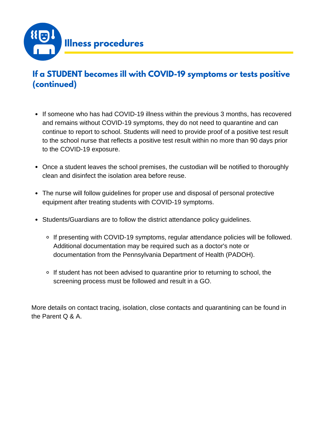![](_page_5_Picture_0.jpeg)

# **If a STUDENT becomes ill with COVID-19 symptoms or tests positive (continued)**

- If someone who has had COVID-19 illness within the previous 3 months, has recovered and remains without COVID-19 symptoms, they do not need to quarantine and can continue to report to school. Students will need to provide proof of a positive test result to the school nurse that reflects a positive test result within no more than 90 days prior to the COVID-19 exposure.
- Once a student leaves the school premises, the custodian will be notified to thoroughly clean and disinfect the isolation area before reuse.
- The nurse will follow guidelines for proper use and disposal of personal protective equipment after treating students with COVID-19 symptoms.
- Students/Guardians are to follow the district attendance policy guidelines.
	- If presenting with COVID-19 symptoms, regular attendance policies will be followed. Additional documentation may be required such as a doctor's note or documentation from the Pennsylvania Department of Health (PADOH).
	- If student has not been advised to quarantine prior to returning to school, the screening process must be followed and result in a GO.

More details on contact tracing, isolation, close contacts and quarantining can be found in the Parent Q & A.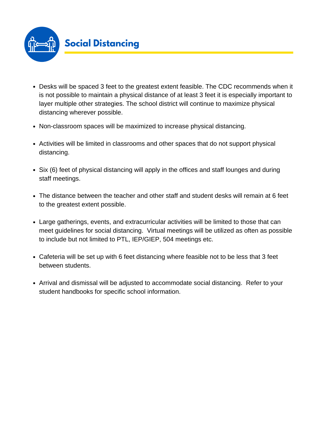![](_page_6_Picture_0.jpeg)

- Desks will be spaced 3 feet to the greatest extent feasible. The CDC recommends when it is not possible to maintain a physical distance of at least 3 feet it is especially important to layer multiple other strategies. The school district will continue to maximize physical distancing wherever possible.
- Non-classroom spaces will be maximized to increase physical distancing.
- Activities will be limited in classrooms and other spaces that do not support physical distancing.
- Six (6) feet of physical distancing will apply in the offices and staff lounges and during staff meetings.
- The distance between the teacher and other staff and student desks will remain at 6 feet to the greatest extent possible.
- Large gatherings, events, and extracurricular activities will be limited to those that can meet guidelines for social distancing. Virtual meetings will be utilized as often as possible to include but not limited to PTL, IEP/GIEP, 504 meetings etc.
- Cafeteria will be set up with 6 feet distancing where feasible not to be less that 3 feet between students.
- Arrival and dismissal will be adjusted to accommodate social distancing. Refer to your student handbooks for specific school information.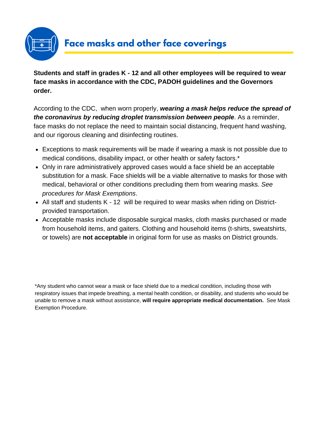![](_page_7_Picture_0.jpeg)

**Students and staff in grades K - 12 and all other employees will be required to wear face masks in accordance with the CDC, PADOH guidelines and the Governors order.**

According to the CDC, when worn properly, *wearing a mask helps reduce the spread of the coronavirus by reducing droplet transmission between people*. As a reminder, face masks do not replace the need to maintain social distancing, frequent hand washing, and our rigorous cleaning and disinfecting routines.

- Exceptions to mask requirements will be made if wearing a mask is not possible due to medical conditions, disability impact, or other health or safety factors.\*
- Only in rare administratively approved cases would a face shield be an acceptable substitution for a mask. Face shields will be a viable alternative to masks for those with medical, behavioral or other conditions precluding them from wearing masks. *See procedures for Mask Exemptions*.
- All staff and students K 12 will be required to wear masks when riding on Districtprovided transportation.
- Acceptable masks include disposable surgical masks, cloth masks purchased or made from household items, and gaiters. Clothing and household items (t-shirts, sweatshirts, or towels) are **not acceptable** in original form for use as masks on District grounds.

\*Any student who cannot wear a mask or face shield due to a medical condition, including those with respiratory issues that impede breathing, a mental health condition, or disability, and students who would be unable to remove a mask without assistance, **will require appropriate medical documentation.** See Mask Exemption Procedure.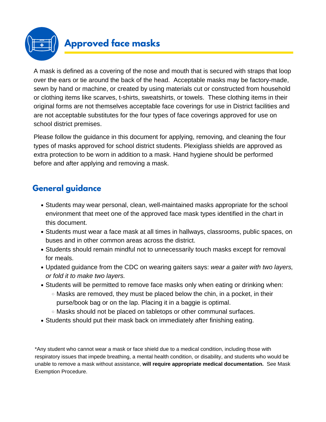# **Approved face masks**

A mask is defined as a covering of the nose and mouth that is secured with straps that loop over the ears or tie around the back of the head. Acceptable masks may be factory-made, sewn by hand or machine, or created by using materials cut or constructed from household or clothing items like scarves, t-shirts, sweatshirts, or towels. These clothing items in their original forms are not themselves acceptable face coverings for use in District facilities and are not acceptable substitutes for the four types of face coverings approved for use on school district premises.

Please follow the guidance in this document for applying, removing, and cleaning the four types of masks approved for school district students. Plexiglass shields are approved as extra protection to be worn in addition to a mask. Hand hygiene should be performed before and after applying and removing a mask.

# **General guidance**

- Students may wear personal, clean, well-maintained masks appropriate for the school environment that meet one of the approved face mask types identified in the chart in this document.
- Students must wear a face mask at all times in hallways, classrooms, public spaces, on buses and in other common areas across the district.
- Students should remain mindful not to unnecessarily touch masks except for removal for meals.
- Updated guidance from the CDC on wearing gaiters says: *wear a gaiter with two layers, or fold it to make two layers.*
- Students will be permitted to remove face masks only when eating or drinking when:
	- $\circ$  Masks are removed, they must be placed below the chin, in a pocket, in their purse/book bag or on the lap. Placing it in a baggie is optimal.
	- $\circ$  Masks should not be placed on tabletops or other communal surfaces.
- Students should put their mask back on immediately after finishing eating.

\*Any student who cannot wear a mask or face shield due to a medical condition, including those with respiratory issues that impede breathing, a mental health condition, or disability, and students who would be unable to remove a mask without assistance, **will require appropriate medical documentation.** See Mask Exemption Procedure.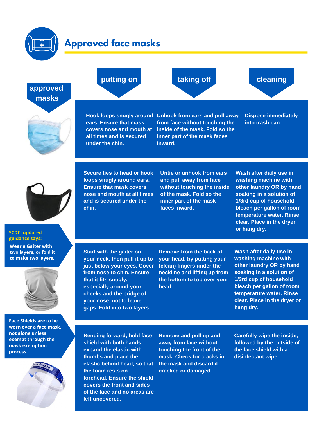![](_page_9_Figure_0.jpeg)

![](_page_9_Figure_1.jpeg)

**the foam rests on**

**process**

**left uncovered.**

**forehead. Ensure the shield covers the front and sides of the face and no areas are** **cracked or damaged.**

**Carefully wipe the inside, followed by the outside of the face shield with a disinfectant wipe.**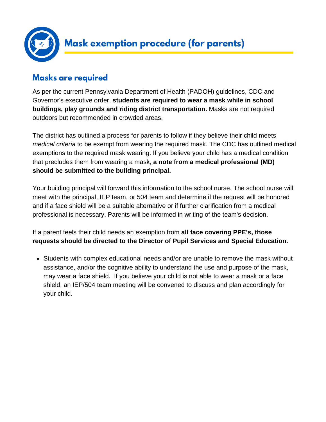![](_page_10_Picture_0.jpeg)

# **Masks are required**

As per the current Pennsylvania Department of Health (PADOH) guidelines, CDC and Governor's executive order, **students are required to wear a mask while in school buildings, play grounds and riding district transportation.** Masks are not required outdoors but recommended in crowded areas.

The district has outlined a process for parents to follow if they believe their child meets *medical criteria* to be exempt from wearing the required mask. The CDC has outlined medical exemptions to the required mask wearing. If you believe your child has a medical condition that precludes them from wearing a mask, **a note from a medical professional (MD) should be submitted to the building principal.**

Your building principal will forward this information to the school nurse. The school nurse will meet with the principal, IEP team, or 504 team and determine if the request will be honored and if a face shield will be a suitable alternative or if further clarification from a medical professional is necessary. Parents will be informed in writing of the team's decision.

If a parent feels their child needs an exemption from **all face covering PPE's, those requests should be directed to the Director of Pupil Services and Special Education.**

Students with complex educational needs and/or are unable to remove the mask without assistance, and/or the cognitive ability to understand the use and purpose of the mask, may wear a face shield. If you believe your child is not able to wear a mask or a face shield, an IEP/504 team meeting will be convened to discuss and plan accordingly for your child.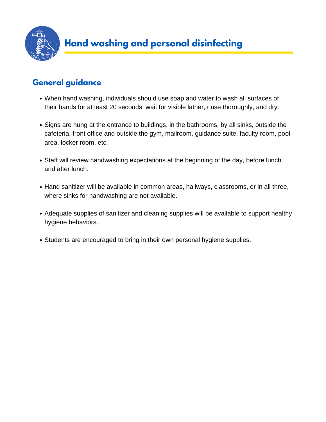![](_page_11_Picture_0.jpeg)

### **General guidance**

- When hand washing, individuals should use soap and water to wash all surfaces of their hands for at least 20 seconds, wait for visible lather, rinse thoroughly, and dry.
- Signs are hung at the entrance to buildings, in the bathrooms, by all sinks, outside the cafeteria, front office and outside the gym, mailroom, guidance suite, faculty room, pool area, locker room, etc.
- Staff will review handwashing expectations at the beginning of the day, before lunch and after lunch.
- Hand sanitizer will be available in common areas, hallways, classrooms, or in all three, where sinks for handwashing are not available.
- Adequate supplies of sanitizer and cleaning supplies will be available to support healthy hygiene behaviors.
- Students are encouraged to bring in their own personal hygiene supplies.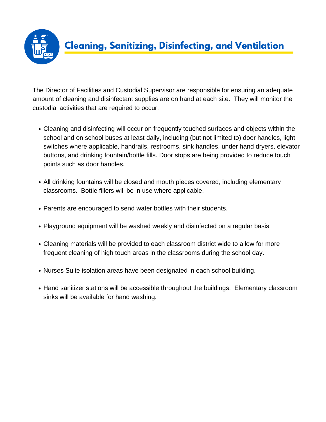![](_page_12_Picture_0.jpeg)

The Director of Facilities and Custodial Supervisor are responsible for ensuring an adequate amount of cleaning and disinfectant supplies are on hand at each site. They will monitor the custodial activities that are required to occur.

- Cleaning and disinfecting will occur on frequently touched surfaces and objects within the school and on school buses at least daily, including (but not limited to) door handles, light switches where applicable, handrails, restrooms, sink handles, under hand dryers, elevator buttons, and drinking fountain/bottle fills. Door stops are being provided to reduce touch points such as door handles.
- All drinking fountains will be closed and mouth pieces covered, including elementary classrooms. Bottle fillers will be in use where applicable.
- Parents are encouraged to send water bottles with their students.
- Playground equipment will be washed weekly and disinfected on a regular basis.
- Cleaning materials will be provided to each classroom district wide to allow for more frequent cleaning of high touch areas in the classrooms during the school day.
- Nurses Suite isolation areas have been designated in each school building.
- Hand sanitizer stations will be accessible throughout the buildings. Elementary classroom sinks will be available for hand washing.